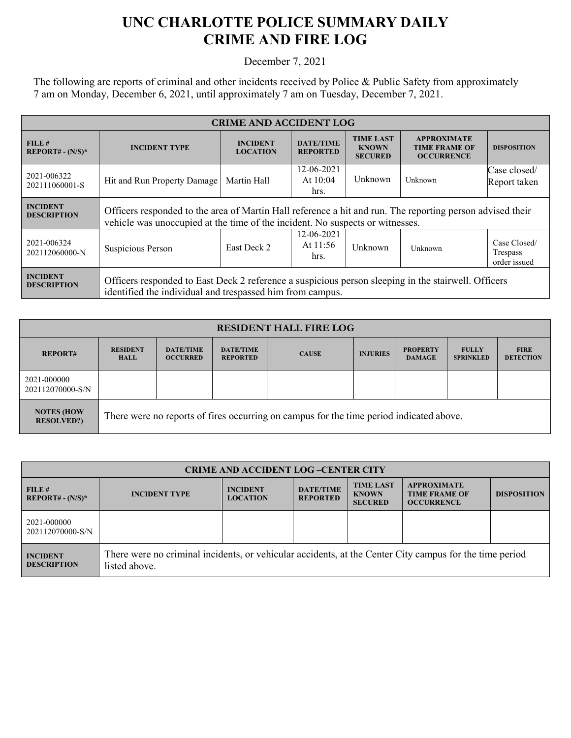## **UNC CHARLOTTE POLICE SUMMARY DAILY CRIME AND FIRE LOG**

December 7, 2021

The following are reports of criminal and other incidents received by Police & Public Safety from approximately 7 am on Monday, December 6, 2021, until approximately 7 am on Tuesday, December 7, 2021.

| <b>CRIME AND ACCIDENT LOG</b>         |                                                                                                                                                                                            |                                    |                                     |                                                    |                                                                 |                                          |  |
|---------------------------------------|--------------------------------------------------------------------------------------------------------------------------------------------------------------------------------------------|------------------------------------|-------------------------------------|----------------------------------------------------|-----------------------------------------------------------------|------------------------------------------|--|
| FILE#<br>$REPORT# - (N/S)*$           | <b>INCIDENT TYPE</b>                                                                                                                                                                       | <b>INCIDENT</b><br><b>LOCATION</b> | <b>DATE/TIME</b><br><b>REPORTED</b> | <b>TIME LAST</b><br><b>KNOWN</b><br><b>SECURED</b> | <b>APPROXIMATE</b><br><b>TIME FRAME OF</b><br><b>OCCURRENCE</b> | <b>DISPOSITION</b>                       |  |
| 2021-006322<br>202111060001-S         | Hit and Run Property Damage                                                                                                                                                                | Martin Hall                        | 12-06-2021<br>At $10:04$<br>hrs.    | Unknown                                            | Unknown                                                         | Case closed/<br>Report taken             |  |
| <b>INCIDENT</b><br><b>DESCRIPTION</b> | Officers responded to the area of Martin Hall reference a hit and run. The reporting person advised their<br>vehicle was unoccupied at the time of the incident. No suspects or witnesses. |                                    |                                     |                                                    |                                                                 |                                          |  |
| 2021-006324<br>202112060000-N         | Suspicious Person                                                                                                                                                                          | East Deck 2                        | 12-06-2021<br>At 11:56<br>hrs.      | Unknown                                            | Unknown                                                         | Case Closed/<br>Trespass<br>order issued |  |
| <b>INCIDENT</b><br><b>DESCRIPTION</b> | Officers responded to East Deck 2 reference a suspicious person sleeping in the stairwell. Officers<br>identified the individual and trespassed him from campus.                           |                                    |                                     |                                                    |                                                                 |                                          |  |

| <b>RESIDENT HALL FIRE LOG</b>          |                                                                                         |                                     |                                     |              |                 |                                  |                                  |                                 |
|----------------------------------------|-----------------------------------------------------------------------------------------|-------------------------------------|-------------------------------------|--------------|-----------------|----------------------------------|----------------------------------|---------------------------------|
| <b>REPORT#</b>                         | <b>RESIDENT</b><br><b>HALL</b>                                                          | <b>DATE/TIME</b><br><b>OCCURRED</b> | <b>DATE/TIME</b><br><b>REPORTED</b> | <b>CAUSE</b> | <b>INJURIES</b> | <b>PROPERTY</b><br><b>DAMAGE</b> | <b>FULLY</b><br><b>SPRINKLED</b> | <b>FIRE</b><br><b>DETECTION</b> |
| 2021-000000<br>202112070000-S/N        |                                                                                         |                                     |                                     |              |                 |                                  |                                  |                                 |
| <b>NOTES (HOW</b><br><b>RESOLVED?)</b> | There were no reports of fires occurring on campus for the time period indicated above. |                                     |                                     |              |                 |                                  |                                  |                                 |

| <b>CRIME AND ACCIDENT LOG-CENTER CITY</b> |                                                                                                                          |                                    |                                     |                                                    |                                                                 |                    |
|-------------------------------------------|--------------------------------------------------------------------------------------------------------------------------|------------------------------------|-------------------------------------|----------------------------------------------------|-----------------------------------------------------------------|--------------------|
| FILE#<br>$REPORT# - (N/S)*$               | <b>INCIDENT TYPE</b>                                                                                                     | <b>INCIDENT</b><br><b>LOCATION</b> | <b>DATE/TIME</b><br><b>REPORTED</b> | <b>TIME LAST</b><br><b>KNOWN</b><br><b>SECURED</b> | <b>APPROXIMATE</b><br><b>TIME FRAME OF</b><br><b>OCCURRENCE</b> | <b>DISPOSITION</b> |
| 2021-000000<br>202112070000-S/N           |                                                                                                                          |                                    |                                     |                                                    |                                                                 |                    |
| <b>INCIDENT</b><br><b>DESCRIPTION</b>     | There were no criminal incidents, or vehicular accidents, at the Center City campus for the time period<br>listed above. |                                    |                                     |                                                    |                                                                 |                    |